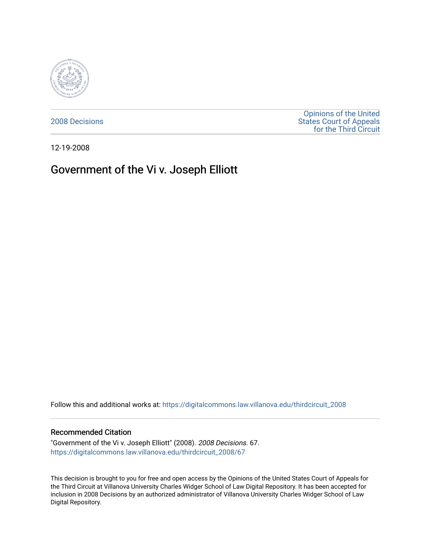

[2008 Decisions](https://digitalcommons.law.villanova.edu/thirdcircuit_2008)

[Opinions of the United](https://digitalcommons.law.villanova.edu/thirdcircuit)  [States Court of Appeals](https://digitalcommons.law.villanova.edu/thirdcircuit)  [for the Third Circuit](https://digitalcommons.law.villanova.edu/thirdcircuit) 

12-19-2008

# Government of the Vi v. Joseph Elliott

Follow this and additional works at: [https://digitalcommons.law.villanova.edu/thirdcircuit\\_2008](https://digitalcommons.law.villanova.edu/thirdcircuit_2008?utm_source=digitalcommons.law.villanova.edu%2Fthirdcircuit_2008%2F67&utm_medium=PDF&utm_campaign=PDFCoverPages) 

### Recommended Citation

"Government of the Vi v. Joseph Elliott" (2008). 2008 Decisions. 67. [https://digitalcommons.law.villanova.edu/thirdcircuit\\_2008/67](https://digitalcommons.law.villanova.edu/thirdcircuit_2008/67?utm_source=digitalcommons.law.villanova.edu%2Fthirdcircuit_2008%2F67&utm_medium=PDF&utm_campaign=PDFCoverPages)

This decision is brought to you for free and open access by the Opinions of the United States Court of Appeals for the Third Circuit at Villanova University Charles Widger School of Law Digital Repository. It has been accepted for inclusion in 2008 Decisions by an authorized administrator of Villanova University Charles Widger School of Law Digital Repository.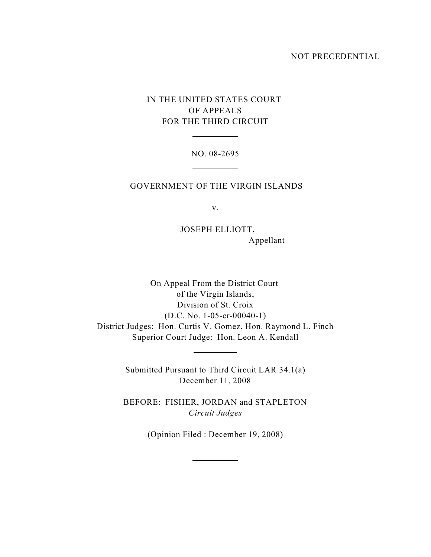### NOT PRECEDENTIAL

## IN THE UNITED STATES COURT OF APPEALS FOR THE THIRD CIRCUIT

 $\overline{a}$ 

 $\overline{a}$ 

 $\overline{a}$ 

 $\overline{a}$ 

## NO. 08-2695

## GOVERNMENT OF THE VIRGIN ISLANDS

v.

 JOSEPH ELLIOTT, Appellant

On Appeal From the District Court of the Virgin Islands, Division of St. Croix (D.C. No. 1-05-cr-00040-1) District Judges: Hon. Curtis V. Gomez, Hon. Raymond L. Finch Superior Court Judge: Hon. Leon A. Kendall

> Submitted Pursuant to Third Circuit LAR 34.1(a) December 11, 2008

> BEFORE: FISHER, JORDAN and STAPLETON *Circuit Judges*

> > (Opinion Filed : December 19, 2008)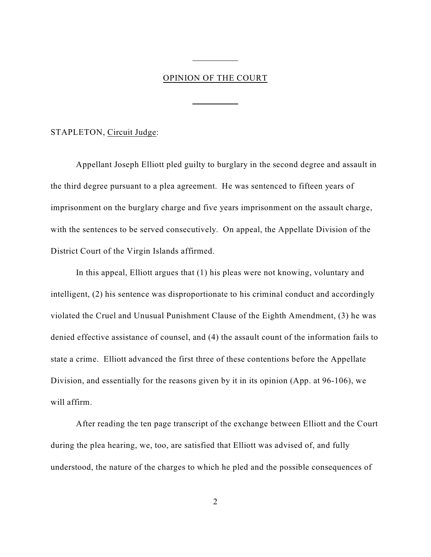## OPINION OF THE COURT

 $\overline{a}$ 

 $\overline{a}$ 

#### STAPLETON, Circuit Judge:

Appellant Joseph Elliott pled guilty to burglary in the second degree and assault in the third degree pursuant to a plea agreement. He was sentenced to fifteen years of imprisonment on the burglary charge and five years imprisonment on the assault charge, with the sentences to be served consecutively. On appeal, the Appellate Division of the District Court of the Virgin Islands affirmed.

In this appeal, Elliott argues that (1) his pleas were not knowing, voluntary and intelligent, (2) his sentence was disproportionate to his criminal conduct and accordingly violated the Cruel and Unusual Punishment Clause of the Eighth Amendment, (3) he was denied effective assistance of counsel, and (4) the assault count of the information fails to state a crime. Elliott advanced the first three of these contentions before the Appellate Division, and essentially for the reasons given by it in its opinion (App. at 96-106), we will affirm.

After reading the ten page transcript of the exchange between Elliott and the Court during the plea hearing, we, too, are satisfied that Elliott was advised of, and fully understood, the nature of the charges to which he pled and the possible consequences of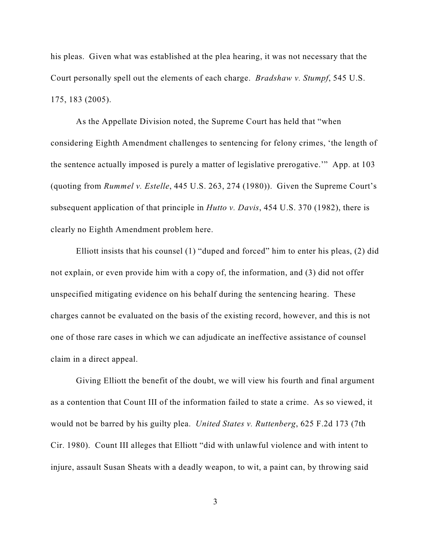his pleas. Given what was established at the plea hearing, it was not necessary that the Court personally spell out the elements of each charge. *Bradshaw v. Stumpf*, 545 U.S. 175, 183 (2005).

As the Appellate Division noted, the Supreme Court has held that "when considering Eighth Amendment challenges to sentencing for felony crimes, 'the length of the sentence actually imposed is purely a matter of legislative prerogative.'" App. at 103 (quoting from *Rummel v. Estelle*, 445 U.S. 263, 274 (1980)). Given the Supreme Court's subsequent application of that principle in *Hutto v. Davis*, 454 U.S. 370 (1982), there is clearly no Eighth Amendment problem here.

Elliott insists that his counsel (1) "duped and forced" him to enter his pleas, (2) did not explain, or even provide him with a copy of, the information, and (3) did not offer unspecified mitigating evidence on his behalf during the sentencing hearing. These charges cannot be evaluated on the basis of the existing record, however, and this is not one of those rare cases in which we can adjudicate an ineffective assistance of counsel claim in a direct appeal.

Giving Elliott the benefit of the doubt, we will view his fourth and final argument as a contention that Count III of the information failed to state a crime. As so viewed, it would not be barred by his guilty plea. *United States v. Ruttenberg*, 625 F.2d 173 (7th Cir. 1980). Count III alleges that Elliott "did with unlawful violence and with intent to injure, assault Susan Sheats with a deadly weapon, to wit, a paint can, by throwing said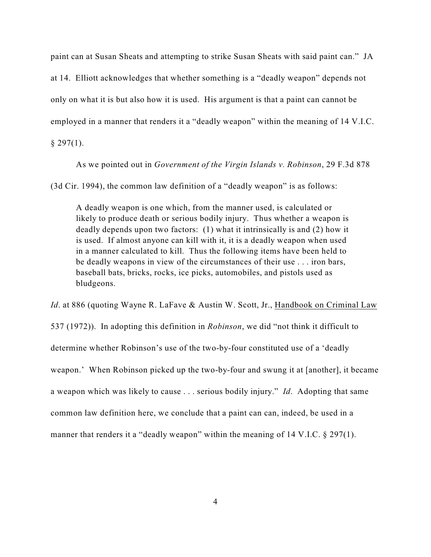paint can at Susan Sheats and attempting to strike Susan Sheats with said paint can." JA

at 14. Elliott acknowledges that whether something is a "deadly weapon" depends not

only on what it is but also how it is used. His argument is that a paint can cannot be

employed in a manner that renders it a "deadly weapon" within the meaning of 14 V.I.C.

 $§$  297(1).

As we pointed out in *Government of the Virgin Islands v. Robinson*, 29 F.3d 878

(3d Cir. 1994), the common law definition of a "deadly weapon" is as follows:

A deadly weapon is one which, from the manner used, is calculated or likely to produce death or serious bodily injury. Thus whether a weapon is deadly depends upon two factors: (1) what it intrinsically is and (2) how it is used. If almost anyone can kill with it, it is a deadly weapon when used in a manner calculated to kill. Thus the following items have been held to be deadly weapons in view of the circumstances of their use . . . iron bars, baseball bats, bricks, rocks, ice picks, automobiles, and pistols used as bludgeons.

*Id.* at 886 (quoting Wayne R. LaFave & Austin W. Scott, Jr., Handbook on Criminal Law 537 (1972)). In adopting this definition in *Robinson*, we did "not think it difficult to determine whether Robinson's use of the two-by-four constituted use of a 'deadly weapon.' When Robinson picked up the two-by-four and swung it at [another], it became a weapon which was likely to cause . . . serious bodily injury." *Id*. Adopting that same common law definition here, we conclude that a paint can can, indeed, be used in a

manner that renders it a "deadly weapon" within the meaning of 14 V.I.C. § 297(1).